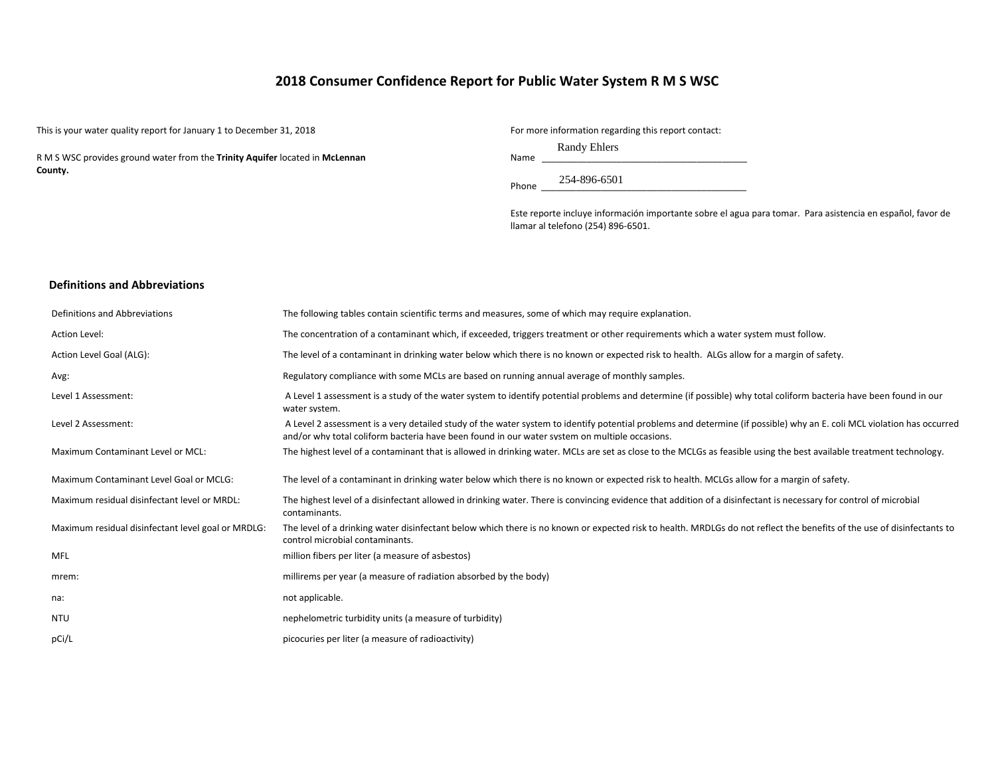# **2018 Consumer Confidence Report for Public Water System R M S WSC**

This is your water quality report for January 1 to December 31, 2018 For more information regarding this report contact:

R M S WSC provides ground water from the **Trinity Aquifer** located in **McLennan County.**

Randy Ehlers

Name \_\_\_\_\_\_\_\_\_\_\_\_\_\_\_\_\_\_\_\_\_\_\_\_\_\_\_\_\_\_\_\_\_\_\_\_\_\_\_\_\_

Phone \_\_\_\_\_\_\_\_\_\_\_\_\_\_\_\_\_\_\_\_\_\_\_\_\_\_\_\_\_\_\_\_\_\_\_\_\_\_\_\_\_ 254-896-6501

Este reporte incluye información importante sobre el agua para tomar. Para asistencia en español, favor de llamar al telefono (254) 896-6501.

#### **Definitions and Abbreviations**

| Definitions and Abbreviations                      | The following tables contain scientific terms and measures, some of which may require explanation.                                                                                                                                                                      |
|----------------------------------------------------|-------------------------------------------------------------------------------------------------------------------------------------------------------------------------------------------------------------------------------------------------------------------------|
| Action Level:                                      | The concentration of a contaminant which, if exceeded, triggers treatment or other requirements which a water system must follow.                                                                                                                                       |
| Action Level Goal (ALG):                           | The level of a contaminant in drinking water below which there is no known or expected risk to health. ALGs allow for a margin of safety.                                                                                                                               |
| Avg:                                               | Regulatory compliance with some MCLs are based on running annual average of monthly samples.                                                                                                                                                                            |
| Level 1 Assessment:                                | A Level 1 assessment is a study of the water system to identify potential problems and determine (if possible) why total coliform bacteria have been found in our<br>water system.                                                                                      |
| Level 2 Assessment:                                | A Level 2 assessment is a very detailed study of the water system to identify potential problems and determine (if possible) why an E. coli MCL violation has occurred<br>and/or why total coliform bacteria have been found in our water system on multiple occasions. |
| Maximum Contaminant Level or MCL:                  | The highest level of a contaminant that is allowed in drinking water. MCLs are set as close to the MCLGs as feasible using the best available treatment technology.                                                                                                     |
| Maximum Contaminant Level Goal or MCLG:            | The level of a contaminant in drinking water below which there is no known or expected risk to health. MCLGs allow for a margin of safety.                                                                                                                              |
| Maximum residual disinfectant level or MRDL:       | The highest level of a disinfectant allowed in drinking water. There is convincing evidence that addition of a disinfectant is necessary for control of microbial<br>contaminants.                                                                                      |
| Maximum residual disinfectant level goal or MRDLG: | The level of a drinking water disinfectant below which there is no known or expected risk to health. MRDLGs do not reflect the benefits of the use of disinfectants to<br>control microbial contaminants.                                                               |
| MFL                                                | million fibers per liter (a measure of asbestos)                                                                                                                                                                                                                        |
| mrem:                                              | millirems per year (a measure of radiation absorbed by the body)                                                                                                                                                                                                        |
| na:                                                | not applicable.                                                                                                                                                                                                                                                         |
| <b>NTU</b>                                         | nephelometric turbidity units (a measure of turbidity)                                                                                                                                                                                                                  |
| pCi/L                                              | picocuries per liter (a measure of radioactivity)                                                                                                                                                                                                                       |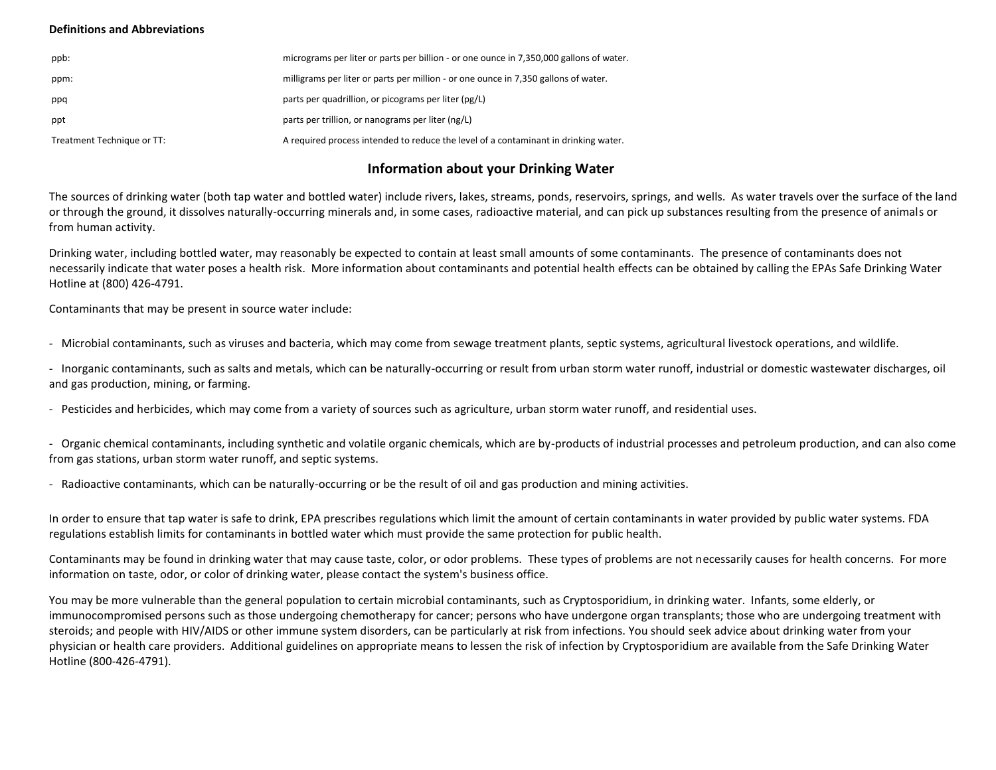### **Definitions and Abbreviations**

| ppb:                       | micrograms per liter or parts per billion - or one ounce in 7,350,000 gallons of water. |
|----------------------------|-----------------------------------------------------------------------------------------|
| ppm:                       | milligrams per liter or parts per million - or one ounce in 7,350 gallons of water.     |
| ppq                        | parts per quadrillion, or picograms per liter (pg/L)                                    |
| ppt                        | parts per trillion, or nanograms per liter (ng/L)                                       |
| Treatment Technique or TT: | A required process intended to reduce the level of a contaminant in drinking water.     |

# **Information about your Drinking Water**

The sources of drinking water (both tap water and bottled water) include rivers, lakes, streams, ponds, reservoirs, springs, and wells. As water travels over the surface of the land or through the ground, it dissolves naturally-occurring minerals and, in some cases, radioactive material, and can pick up substances resulting from the presence of animals or from human activity.

Drinking water, including bottled water, may reasonably be expected to contain at least small amounts of some contaminants. The presence of contaminants does not necessarily indicate that water poses a health risk. More information about contaminants and potential health effects can be obtained by calling the EPAs Safe Drinking Water Hotline at (800) 426-4791.

Contaminants that may be present in source water include:

- Microbial contaminants, such as viruses and bacteria, which may come from sewage treatment plants, septic systems, agricultural livestock operations, and wildlife.

- Inorganic contaminants, such as salts and metals, which can be naturally-occurring or result from urban storm water runoff, industrial or domestic wastewater discharges, oil and gas production, mining, or farming.

- Pesticides and herbicides, which may come from a variety of sources such as agriculture, urban storm water runoff, and residential uses.

- Organic chemical contaminants, including synthetic and volatile organic chemicals, which are by-products of industrial processes and petroleum production, and can also come from gas stations, urban storm water runoff, and septic systems.

- Radioactive contaminants, which can be naturally-occurring or be the result of oil and gas production and mining activities.

In order to ensure that tap water is safe to drink, EPA prescribes regulations which limit the amount of certain contaminants in water provided by public water systems. FDA regulations establish limits for contaminants in bottled water which must provide the same protection for public health.

Contaminants may be found in drinking water that may cause taste, color, or odor problems. These types of problems are not necessarily causes for health concerns. For more information on taste, odor, or color of drinking water, please contact the system's business office.

You may be more vulnerable than the general population to certain microbial contaminants, such as Cryptosporidium, in drinking water. Infants, some elderly, or immunocompromised persons such as those undergoing chemotherapy for cancer; persons who have undergone organ transplants; those who are undergoing treatment with steroids; and people with HIV/AIDS or other immune system disorders, can be particularly at risk from infections. You should seek advice about drinking water from your physician or health care providers. Additional guidelines on appropriate means to lessen the risk of infection by Cryptosporidium are available from the Safe Drinking Water Hotline (800-426-4791).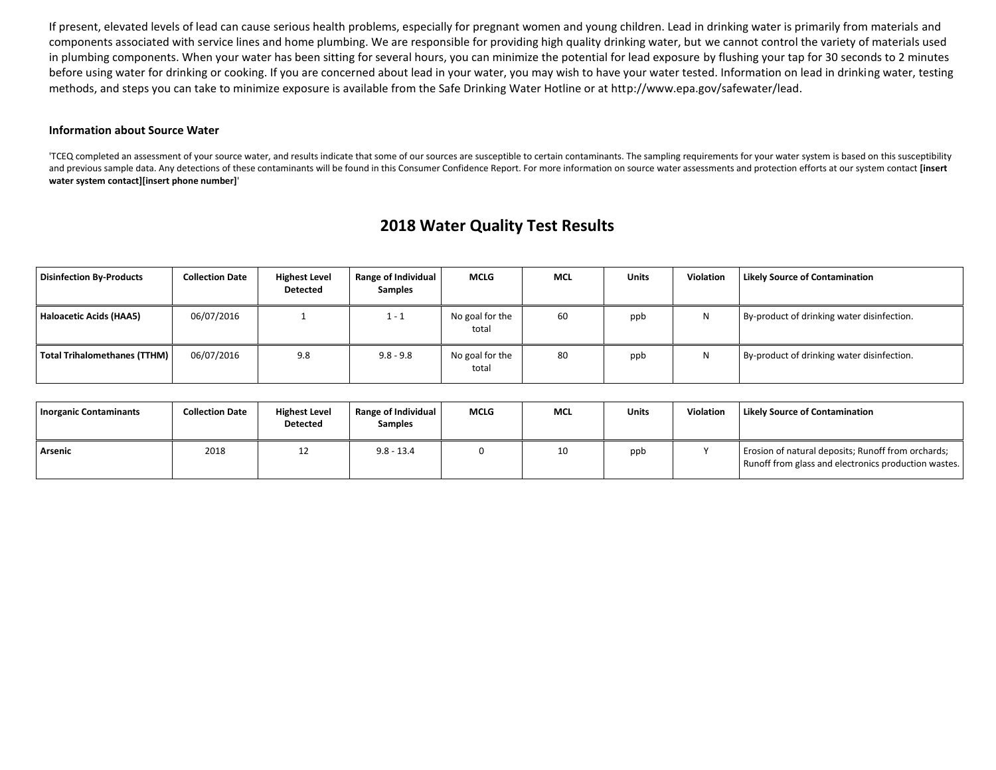If present, elevated levels of lead can cause serious health problems, especially for pregnant women and young children. Lead in drinking water is primarily from materials and components associated with service lines and home plumbing. We are responsible for providing high quality drinking water, but we cannot control the variety of materials used in plumbing components. When your water has been sitting for several hours, you can minimize the potential for lead exposure by flushing your tap for 30 seconds to 2 minutes before using water for drinking or cooking. If you are concerned about lead in your water, you may wish to have your water tested. Information on lead in drinking water, testing methods, and steps you can take to minimize exposure is available from the Safe Drinking Water Hotline or at http://www.epa.gov/safewater/lead.

#### **Information about Source Water**

'TCEQ completed an assessment of your source water, and results indicate that some of our sources are susceptible to certain contaminants. The sampling requirements for your water system is based on this susceptibility and previous sample data. Any detections of these contaminants will be found in this Consumer Confidence Report. For more information on source water assessments and protection efforts at our system contact **[insert water system contact][insert phone number]**'

# **2018 Water Quality Test Results**

| <b>Disinfection By-Products</b> | <b>Collection Date</b> | <b>Highest Level</b><br><b>Detected</b> | Range of Individual<br>Samples | <b>MCLG</b>              | <b>MCL</b> | <b>Units</b> | <b>Violation</b> | <b>Likely Source of Contamination</b>      |
|---------------------------------|------------------------|-----------------------------------------|--------------------------------|--------------------------|------------|--------------|------------------|--------------------------------------------|
| Haloacetic Acids (HAA5)         | 06/07/2016             |                                         | $1 - 1$                        | No goal for the<br>total | 60         | ppb          | N                | By-product of drinking water disinfection. |
| Total Trihalomethanes (TTHM)    | 06/07/2016             | 9.8                                     | $9.8 - 9.8$                    | No goal for the<br>total | 80         | ppb          | N                | By-product of drinking water disinfection. |

| <b>Inorganic Contaminants</b> | <b>Collection Date</b> | <b>Highest Level</b><br><b>Detected</b> | <b>Range of Individual</b><br><b>Samples</b> | <b>MCLG</b> | <b>MCL</b> | <b>Units</b> | <b>Violation</b> | Likely Source of Contamination                                                                             |
|-------------------------------|------------------------|-----------------------------------------|----------------------------------------------|-------------|------------|--------------|------------------|------------------------------------------------------------------------------------------------------------|
| Arsenic                       | 2018                   | ᅭ                                       | $9.8 - 13.4$                                 |             | 10         | ppb          |                  | Erosion of natural deposits; Runoff from orchards;<br>Runoff from glass and electronics production wastes. |